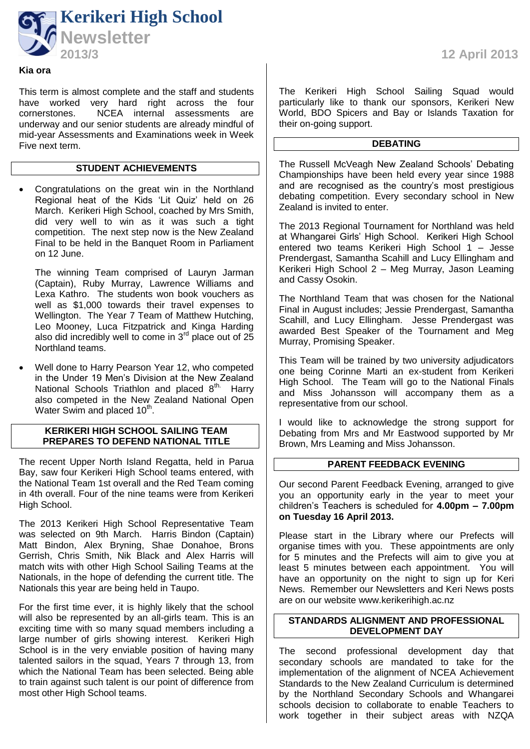

### **Kia ora**

This term is almost complete and the staff and students have worked very hard right across the four cornerstones. NCEA internal assessments are underway and our senior students are already mindful of mid-year Assessments and Examinations week in Week Five next term.

# **STUDENT ACHIEVEMENTS**

 Congratulations on the great win in the Northland Regional heat of the Kids 'Lit Quiz' held on 26 March. Kerikeri High School, coached by Mrs Smith, did very well to win as it was such a tight competition. The next step now is the New Zealand Final to be held in the Banquet Room in Parliament on 12 June.

The winning Team comprised of Lauryn Jarman (Captain), Ruby Murray, Lawrence Williams and Lexa Kathro. The students won book vouchers as well as \$1,000 towards their travel expenses to Wellington. The Year 7 Team of Matthew Hutching, Leo Mooney, Luca Fitzpatrick and Kinga Harding also did incredibly well to come in  $3<sup>rd</sup>$  place out of  $25$ Northland teams.

 Well done to Harry Pearson Year 12, who competed in the Under 19 Men's Division at the New Zealand National Schools Triathlon and placed 8<sup>th.</sup> Harry also competed in the New Zealand National Open Water Swim and placed 10<sup>th</sup>.

#### **KERIKERI HIGH SCHOOL SAILING TEAM PREPARES TO DEFEND NATIONAL TITLE**

The recent Upper North Island Regatta, held in Parua Bay, saw four Kerikeri High School teams entered, with the National Team 1st overall and the Red Team coming in 4th overall. Four of the nine teams were from Kerikeri High School.

The 2013 Kerikeri High School Representative Team was selected on 9th March. Harris Bindon (Captain) Matt Bindon, Alex Bryning, Shae Donahoe, Brons Gerrish, Chris Smith, Nik Black and Alex Harris will match wits with other High School Sailing Teams at the Nationals, in the hope of defending the current title. The Nationals this year are being held in Taupo.

For the first time ever, it is highly likely that the school will also be represented by an all-girls team. This is an exciting time with so many squad members including a large number of girls showing interest. Kerikeri High School is in the very enviable position of having many talented sailors in the squad, Years 7 through 13, from which the National Team has been selected. Being able to train against such talent is our point of difference from most other High School teams.

**2013/3 12 April 2013**

The Kerikeri High School Sailing Squad would particularly like to thank our sponsors, Kerikeri New World, BDO Spicers and Bay or Islands Taxation for their on-going support.

### **DEBATING**

The Russell McVeagh New Zealand Schools' Debating Championships have been held every year since 1988 and are recognised as the country's most prestigious debating competition. Every secondary school in New Zealand is invited to enter.

The 2013 Regional Tournament for Northland was held at Whangarei Girls' High School. Kerikeri High School entered two teams Kerikeri High School 1 – Jesse Prendergast, Samantha Scahill and Lucy Ellingham and Kerikeri High School 2 – Meg Murray, Jason Leaming and Cassy Osokin.

The Northland Team that was chosen for the National Final in August includes; Jessie Prendergast, Samantha Scahill, and Lucy Ellingham. Jesse Prendergast was awarded Best Speaker of the Tournament and Meg Murray, Promising Speaker.

This Team will be trained by two university adjudicators one being Corinne Marti an ex-student from Kerikeri High School. The Team will go to the National Finals and Miss Johansson will accompany them as a representative from our school.

I would like to acknowledge the strong support for Debating from Mrs and Mr Eastwood supported by Mr Brown, Mrs Leaming and Miss Johansson.

# **PARENT FEEDBACK EVENING**

Our second Parent Feedback Evening, arranged to give you an opportunity early in the year to meet your children's Teachers is scheduled for **4.00pm – 7.00pm on Tuesday 16 April 2013.**

Please start in the Library where our Prefects will organise times with you. These appointments are only for 5 minutes and the Prefects will aim to give you at least 5 minutes between each appointment. You will have an opportunity on the night to sign up for Keri News. Remember our Newsletters and Keri News posts are on our website [www.kerikerihigh.ac.nz](http://www.kerikerihigh.ac.nz/)

# **STANDARDS ALIGNMENT AND PROFESSIONAL DEVELOPMENT DAY**

The second professional development day that secondary schools are mandated to take for the implementation of the alignment of NCEA Achievement Standards to the New Zealand Curriculum is determined by the Northland Secondary Schools and Whangarei schools decision to collaborate to enable Teachers to work together in their subject areas with NZQA